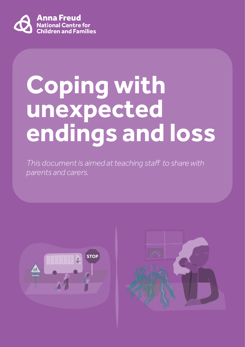

# **Coping with unexpected endings and loss**

*This document is aimed at teaching staff to share with parents and carers.*



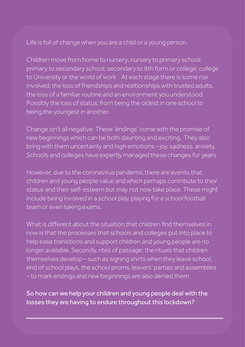Life is full of change when you are a child or a young person.

Children move from home to nursery; nursery to primary school; primary to secondary school; secondary to 6th form or college; college to University or the world of work . At each stage there is some risk involved; the loss of friendships and realtionships with trusted adults, the loss of a familiar routine and an environment you understood. Possibly the loss of status, from being the oldest in one school to being the youngest in another.

Change isn't all negative. These 'endings' come with the promise of new beginnings which can be both daunting and exciting. They also bring with them uncertainty and high emotions – joy, sadness, anxiety. Schools and colleges have expertly managed these changes for years.

However, due to the coronavirus pandemic there are events that children and young people value and which perhaps contribute to their status and their self-esteem but may not now take place. These might include being involved in a school play, playing for a school football team or even taking exams.

What is different about the situation that children find themselves in now is that the processes that schools and colleges put into place to help ease transitions and support children and young people are no longer available. Secondly, rites of passage; the rituals that children themselves develop – such as signing shirts when they leave school, end of school plays, the school proms, leavers' parties and assemblies – to mark endings and new beginnings are also denied them.

So how can we help your children and young people deal with the losses they are having to endure throughout this lockdown?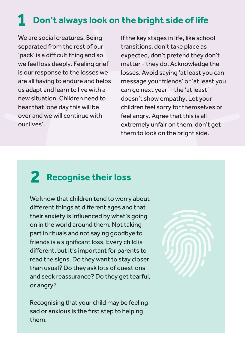### **1 Don't always look on the bright side of life**

We are social creatures. Being separated from the rest of our 'pack' is a difficult thing and so we feel loss deeply. Feeling grief is our response to the losses we are all having to endure and helps us adapt and learn to live with a new situation. Children need to hear that 'one day this will be over and we will continue with our lives'.

If the key stages in life, like school transitions, don't take place as expected, don't pretend they don't matter - they do. Acknowledge the losses. Avoid saying 'at least you can message your friends' or 'at least you can go next year' - the 'at least' doesn't show empathy. Let your children feel sorry for themselves or feel angry. Agree that this is all extremely unfair on them, don't get them to look on the bright side.

# **2 Recognise their loss**

We know that children tend to worry about different things at different ages and that their anxiety is influenced by what's going on in the world around them. Not taking part in rituals and not saying goodbye to friends is a significant loss. Every child is different, but it's important for parents to read the signs. Do they want to stay closer than usual? Do they ask lots of questions and seek reassurance? Do they get tearful, or angry?

Recognising that your child may be feeling sad or anxious is the first step to helping them.

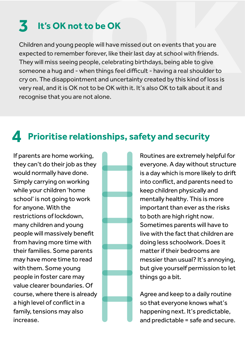### **3**

Children and young people will have missed out on events that you are expected to remember forever, like their last day at school with friends. They will miss seeing people, celebrating birthdays, being able to give someone a hug and - when things feel difficult - having a real shoulder to cry on. The disappointment and uncertainty created by this kind of loss is very real, and it is OK not to be OK with it. It's also OK to talk about it and recognise that you are not alone. **It's OK not to be OK**<br>en and young people will have missed out on events that you are<br>red to remember forever, like their last day at school with friends.<br>vill miss seeing people, celebrating birthdays, being able to give

#### **4 Prioritise relationships, safety and security**

If parents are home working, they can't do their job as they would normally have done. Simply carrying on working while your children 'home school' is not going to work for anyone. With the restrictions of lockdown, many children and young people will massively benefit from having more time with their families. Some parents may have more time to read with them. Some young people in foster care may value clearer boundaries. Of course, where there is already a high level of conflict in a family, tensions may also increase.



Routines are extremely helpful for everyone. A day without structure is a day which is more likely to drift into conflict, and parents need to keep children physically and mentally healthy. This is more important than ever as the risks to both are high right now. Sometimes parents will have to live with the fact that children are doing less schoolwork. Does it matter if their bedrooms are messier than usual? It's annoying, but give yourself permission to let things go a bit.

Agree and keep to a daily routine so that everyone knows what's happening next. It's predictable, and predictable = safe and secure.